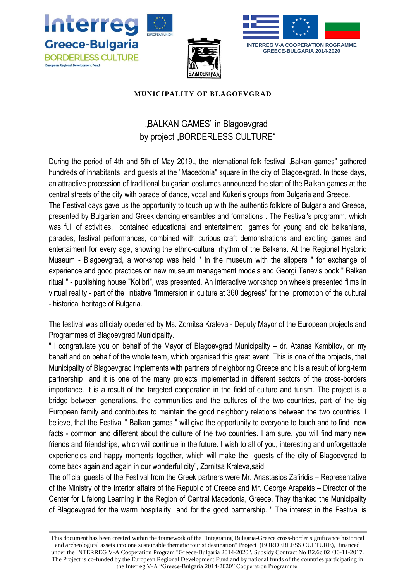





**GREECE-BULGARIA 2014-2020**

## **MUNICIPALITY OF BLAGOEVGRAD**

## "BALKAN GAMES" in Blagoevgrad by project "BORDERLESS CULTURE"

During the period of 4th and 5th of May 2019., the international folk festival "Balkan games" gathered hundreds of inhabitants and guests at the "Macedonia" square in the city of Blagoevgrad. In those days, an attractive procession of traditional bulgarian costumes announced the start of the Balkan games at the central streets of the city with parade of dance, vocal and Kukeri's groups from Bulgaria and Greece.

The Festival days gave us the opportunity to touch up with the authentic folklore of Bulgaria and Greece, presented by Bulgarian and Greek dancing ensambles and formations . The Festival's programm, which was full of activities, contained educational and entertaiment games for young and old balkanians, parades, festival performances, combined with curious craft demonstrations and exciting games and entertaiment for every age, showing the ethno-cultural rhythm of the Balkans. At the Regional Hystoric Museum - Blagoevgrad, a workshop was held " In the museum with the slippers " for exchange of experience and good practices on new museum management models and Georgi Tenev's book " Balkan ritual " - publishing house "Kolibri", was presented. An interactive workshop on wheels presented films in virtual reality - part of the intiative "Immersion in culture at 360 degrees" for the promotion of the cultural - historical heritage of Bulgaria.

The festival was officialy opedened by Ms. Zornitsa Kraleva - Deputy Mayor of the European projects and Programmes of Blagoevgrad Municipality.

" I congratulate you on behalf of the Mayor of Blagoevgrad Municipality – dr. Atanas Kambitov, on my behalf and on behalf of the whole team, which organised this great event. This is one of the projects, that Municipality of Blagoevgrad implements with partners of neighboring Greece and it is a result of long-term partnership and it is one of the many projects implemented in different sectors of the cross-borders importance. It is a result of the targeted cooperation in the field of culture and turism. The project is a bridge between generations, the communities and the cultures of the two countries, part of the big European family and contributes to maintain the good neighborly relations between the two countries. I believe, that the Festival " Balkan games " will give the opportunity to everyone to touch and to find new facts - common and different about the culture of the two countries. I am sure, you will find many new friends and friendships, which wiil continue in the future. I wish to all of you, interesting and unforgettable experiencies and happy moments together, which will make the guests of the city of Blagoevgrad to come back again and again in our wonderful city", Zornitsa Kraleva,said.

The official guests of the Festival from the Greek partners were Mr. Anastasios Zafiridis – Representative of the Ministry of the Interior affairs of the Republic of Greece and Mr. George Arapakis – Director of the Center for Lifelong Learning in the Region of Central Macedonia, Greece. They thanked the Municipality of Blagoevgrad for the warm hospitality and for the good partnership. " The interest in the Festival is

This document has been created within the framework of the "Integrating Bulgaria-Greece cross-border significance historical and archeological assets into one sustainable thematic tourist destination" Project (BORDERLESS CULTURE), financed under the INTERREG V-A Cooperation Program "Greece-Bulgaria 2014-2020", Subsidy Contract No B2.6c.02 /30-11-2017. The Project is co-funded by the European Regional Development Fund and by national funds of the countries participating in the Interreg V-A "Greece-Bulgaria 2014-2020" Cooperation Programme.